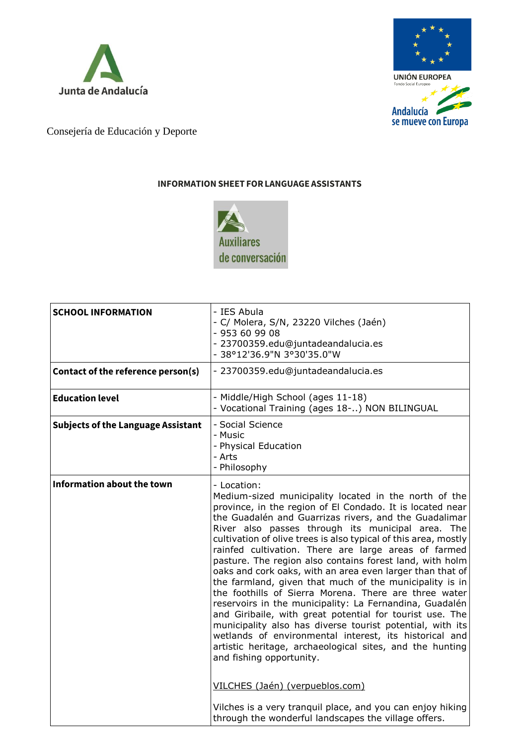



Consejería de Educación y Deporte

## **INFORMATION SHEET FORLANGUAGE ASSISTANTS**



| <b>SCHOOL INFORMATION</b>                 | - IES Abula<br>- C/ Molera, S/N, 23220 Vilches (Jaén)<br>- 953 60 99 08<br>- 23700359.edu@juntadeandalucia.es<br>- 38°12'36.9"N 3°30'35.0"W                                                                                                                                                                                                                                                                                                                                                                                                                                                                                                                                                                                                                                                                                                                                                                                                                                                                                                                                                                            |
|-------------------------------------------|------------------------------------------------------------------------------------------------------------------------------------------------------------------------------------------------------------------------------------------------------------------------------------------------------------------------------------------------------------------------------------------------------------------------------------------------------------------------------------------------------------------------------------------------------------------------------------------------------------------------------------------------------------------------------------------------------------------------------------------------------------------------------------------------------------------------------------------------------------------------------------------------------------------------------------------------------------------------------------------------------------------------------------------------------------------------------------------------------------------------|
| Contact of the reference person(s)        | - 23700359.edu@juntadeandalucia.es                                                                                                                                                                                                                                                                                                                                                                                                                                                                                                                                                                                                                                                                                                                                                                                                                                                                                                                                                                                                                                                                                     |
| <b>Education level</b>                    | - Middle/High School (ages 11-18)<br>- Vocational Training (ages 18-) NON BILINGUAL                                                                                                                                                                                                                                                                                                                                                                                                                                                                                                                                                                                                                                                                                                                                                                                                                                                                                                                                                                                                                                    |
| <b>Subjects of the Language Assistant</b> | - Social Science<br>- Music<br>- Physical Education<br>- Arts<br>- Philosophy                                                                                                                                                                                                                                                                                                                                                                                                                                                                                                                                                                                                                                                                                                                                                                                                                                                                                                                                                                                                                                          |
| Information about the town                | - Location:<br>Medium-sized municipality located in the north of the<br>province, in the region of El Condado. It is located near<br>the Guadalén and Guarrizas rivers, and the Guadalimar<br>River also passes through its municipal area. The<br>cultivation of olive trees is also typical of this area, mostly<br>rainfed cultivation. There are large areas of farmed<br>pasture. The region also contains forest land, with holm<br>oaks and cork oaks, with an area even larger than that of<br>the farmland, given that much of the municipality is in<br>the foothills of Sierra Morena. There are three water<br>reservoirs in the municipality: La Fernandina, Guadalén<br>and Giribaile, with great potential for tourist use. The<br>municipality also has diverse tourist potential, with its<br>wetlands of environmental interest, its historical and<br>artistic heritage, archaeological sites, and the hunting<br>and fishing opportunity.<br>VILCHES (Jaén) (verpueblos.com)<br>Vilches is a very tranquil place, and you can enjoy hiking<br>through the wonderful landscapes the village offers. |